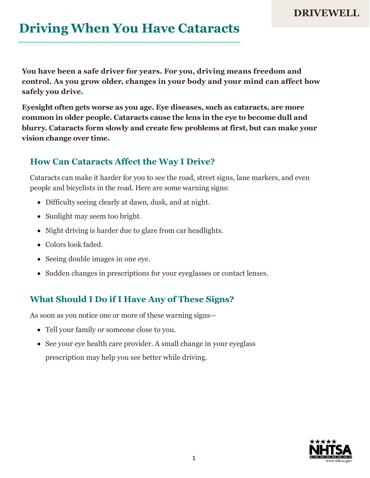# **Driving When You Have Cataracts**

**You have been a safe driver for years. For you, driving means freedom and control. As you grow older, changes in your body and your mind can affect how safely you drive.**

**Eyesight often gets worse as you age. Eye diseases, such as cataracts, are more common in older people. Cataracts cause the lens in the eye to become dull and blurry. Cataracts form slowly and create few problems at first, but can make your vision change over time.**

#### **How Can Cataracts Affect the Way I Drive?**

Cataracts can make it harder for you to see the road, street signs, lane markers, and even people and bicyclists in the road. Here are some warning signs:

- Difficulty seeing clearly at dawn, dusk, and at night.
- Sunlight may seem too bright.
- Night driving is harder due to glare from car headlights.
- Colors look faded.
- Seeing double images in one eye.
- Sudden changes in prescriptions for your eyeglasses or contact lenses.

## **What Should I Do if I Have Any of These Signs?**

As soon as you notice one or more of these warning signs—

- Tell your family or someone close to you.
- See your eye health care provider. A small change in your eyeglass prescription may help you see better while driving.

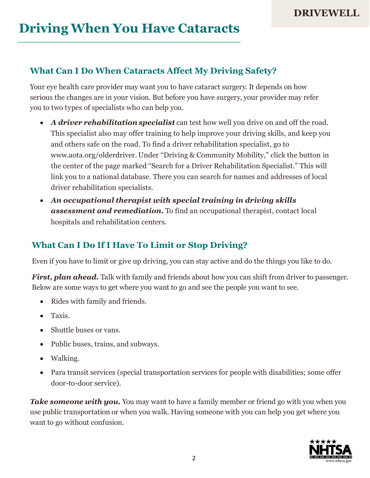### **What Can I Do When Cataracts Affect My Driving Safety?**

Your eye health care provider may want you to have cataract surgery. It depends on how serious the changes are in your vision. But before you have surgery, your provider may refer you to two types of specialists who can help you.

- *A driver rehabilitation specialist* can test how well you drive on and off the road. This specialist also may offer training to help improve your driving skills, and keep you and others safe on the road. To find a driver rehabilitation specialist, go to [www.aota.org/olderdriver.](http://www.aota.org/olderdriver) Under "Driving & Community Mobility," click the button in the center of the page marked "Search for a Driver Rehabilitation Specialist." This will link you to a national database. There you can search for names and addresses of local driver rehabilitation specialists.
- *An occupational therapist with special training in driving skills assessment and remediation.* To find an occupational therapist, contact local hospitals and rehabilitation centers.

### **What Can I Do If I Have To Limit or Stop Driving?**

Even if you have to limit or give up driving, you can stay active and do the things you like to do.

*First, plan ahead.* Talk with family and friends about how you can shift from driver to passenger. Below are some ways to get where you want to go and see the people you want to see.

- Rides with family and friends.
- Taxis.
- Shuttle buses or vans.
- Public buses, trains, and subways.
- Walking.
- Para transit services (special transportation services for people with disabilities; some offer door-to-door service).

*Take someone with you.* You may want to have a family member or friend go with you when you use public transportation or when you walk. Having someone with you can help you get where you want to go without confusion.